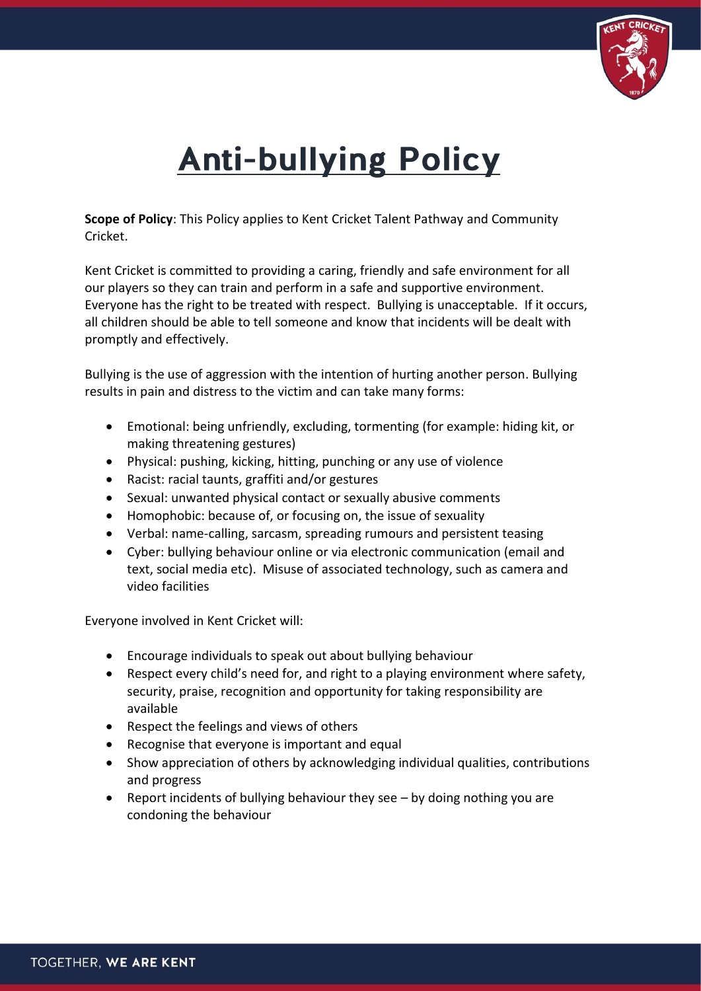

## **Anti-bullying Policy**

**Scope of Policy**: This Policy applies to Kent Cricket Talent Pathway and Community Cricket.

Kent Cricket is committed to providing a caring, friendly and safe environment for all our players so they can train and perform in a safe and supportive environment. Everyone has the right to be treated with respect. Bullying is unacceptable. If it occurs, all children should be able to tell someone and know that incidents will be dealt with promptly and effectively.

Bullying is the use of aggression with the intention of hurting another person. Bullying results in pain and distress to the victim and can take many forms:

- Emotional: being unfriendly, excluding, tormenting (for example: hiding kit, or making threatening gestures)
- Physical: pushing, kicking, hitting, punching or any use of violence
- Racist: racial taunts, graffiti and/or gestures
- Sexual: unwanted physical contact or sexually abusive comments
- Homophobic: because of, or focusing on, the issue of sexuality
- Verbal: name-calling, sarcasm, spreading rumours and persistent teasing
- Cyber: bullying behaviour online or via electronic communication (email and text, social media etc). Misuse of associated technology, such as camera and video facilities

Everyone involved in Kent Cricket will:

- Encourage individuals to speak out about bullying behaviour
- Respect every child's need for, and right to a playing environment where safety, security, praise, recognition and opportunity for taking responsibility are available
- Respect the feelings and views of others
- Recognise that everyone is important and equal
- Show appreciation of others by acknowledging individual qualities, contributions and progress
- Report incidents of bullying behaviour they see by doing nothing you are condoning the behaviour